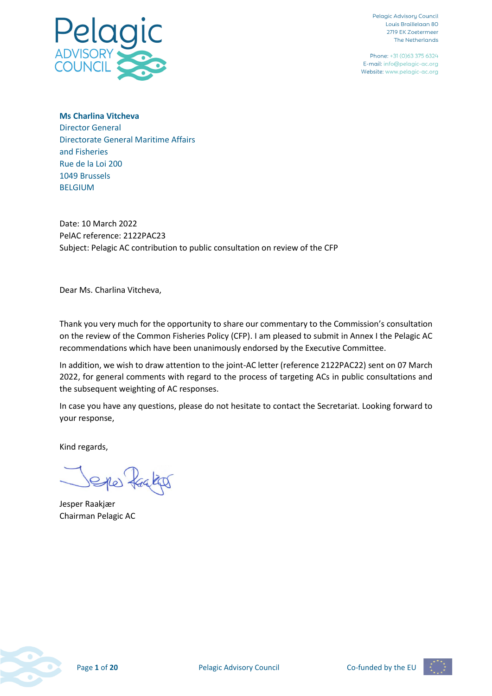

Pelagic Advisory Council Louis Braillelaan 80 2719 EK Zoetermeer The Netherlands

Phone: +31 (0)63 375 6324 E-mail: info@pelagic-ac.org Website: www.pelagic-ac.org

#### **Ms Charlina Vitcheva**

Director General Directorate General Maritime Affairs and Fisheries Rue de la Loi 200 1049 Brussels BELGIUM

Date: 10 March 2022 PelAC reference: 2122PAC23 Subject: Pelagic AC contribution to public consultation on review of the CFP

Dear Ms. Charlina Vitcheva,

Thank you very much for the opportunity to share our commentary to the Commission's consultation on the review of the Common Fisheries Policy (CFP). I am pleased to submit in Annex I the Pelagic AC recommendations which have been unanimously endorsed by the Executive Committee.

In addition, we wish to draw attention to the joint-AC letter (reference 2122PAC22) sent on 07 March 2022, for general comments with regard to the process of targeting ACs in public consultations and the subsequent weighting of AC responses.

In case you have any questions, please do not hesitate to contact the Secretariat. Looking forward to your response,

Kind regards,

 $e^{e}$ 

Jesper Raakjær Chairman Pelagic AC



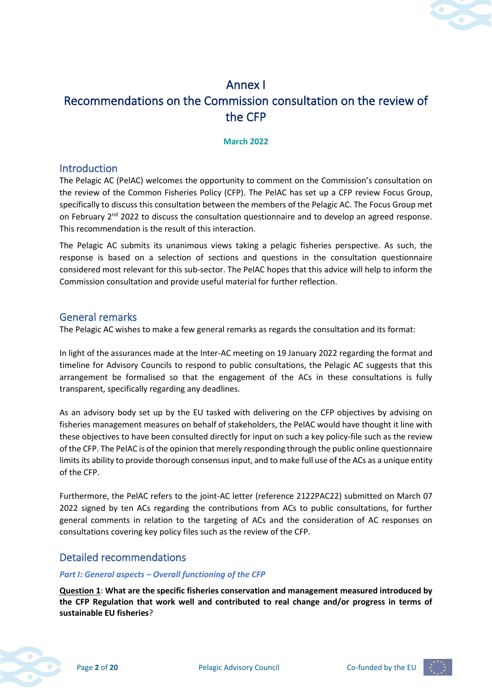

# Annex I Recommendations on the Commission consultation on the review of the CFP

#### **March 2022**

# **Introduction**

The Pelagic AC (PelAC) welcomes the opportunity to comment on the Commission's consultation on the review of the Common Fisheries Policy (CFP). The PelAC has set up a CFP review Focus Group, specifically to discuss this consultation between the members of the Pelagic AC. The Focus Group met on February  $2<sup>nd</sup>$  2022 to discuss the consultation questionnaire and to develop an agreed response. This recommendation is the result of this interaction.

The Pelagic AC submits its unanimous views taking a pelagic fisheries perspective. As such, the response is based on a selection of sections and questions in the consultation questionnaire considered most relevant for this sub-sector. The PelAC hopes that this advice will help to inform the Commission consultation and provide useful material for further reflection.

# General remarks

The Pelagic AC wishes to make a few general remarks as regards the consultation and its format:

In light of the assurances made at the Inter-AC meeting on 19 January 2022 regarding the format and timeline for Advisory Councils to respond to public consultations, the Pelagic AC suggests that this arrangement be formalised so that the engagement of the ACs in these consultations is fully transparent, specifically regarding any deadlines.

As an advisory body set up by the EU tasked with delivering on the CFP objectives by advising on fisheries management measures on behalf of stakeholders, the PelAC would have thought it line with these objectives to have been consulted directly for input on such a key policy-file such as the review of the CFP. The PelAC is of the opinion that merely responding through the public online questionnaire limits its ability to provide thorough consensus input, and to make full use of the ACs as a unique entity of the CFP.

Furthermore, the PelAC refers to the joint-AC letter (reference 2122PAC22) submitted on March 07 2022 signed by ten ACs regarding the contributions from ACs to public consultations, for further general comments in relation to the targeting of ACs and the consideration of AC responses on consultations covering key policy files such as the review of the CFP.

# Detailed recommendations

#### *Part I: General aspects – Overall functioning of the CFP*

**Question 1**: **What are the specific fisheries conservation and management measured introduced by the CFP Regulation that work well and contributed to real change and/or progress in terms of sustainable EU fisheries**?



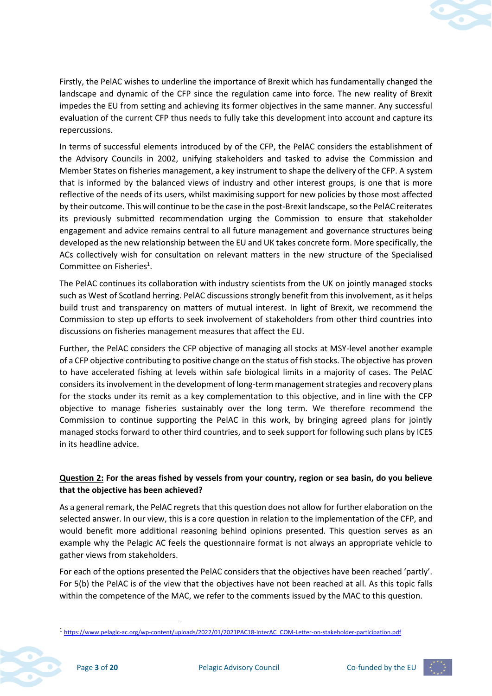

Firstly, the PelAC wishes to underline the importance of Brexit which has fundamentally changed the landscape and dynamic of the CFP since the regulation came into force. The new reality of Brexit impedes the EU from setting and achieving its former objectives in the same manner. Any successful evaluation of the current CFP thus needs to fully take this development into account and capture its repercussions.

In terms of successful elements introduced by of the CFP, the PelAC considers the establishment of the Advisory Councils in 2002, unifying stakeholders and tasked to advise the Commission and Member States on fisheries management, a key instrument to shape the delivery of the CFP. A system that is informed by the balanced views of industry and other interest groups, is one that is more reflective of the needs of its users, whilst maximising support for new policies by those most affected by their outcome. This will continue to be the case in the post-Brexit landscape, so the PelAC reiterates its previously submitted recommendation urging the Commission to ensure that stakeholder engagement and advice remains central to all future management and governance structures being developed as the new relationship between the EU and UK takes concrete form. More specifically, the ACs collectively wish for consultation on relevant matters in the new structure of the Specialised Committee on Fisheries<sup>1</sup>.

The PelAC continues its collaboration with industry scientists from the UK on jointly managed stocks such as West of Scotland herring. PelAC discussions strongly benefit from this involvement, as it helps build trust and transparency on matters of mutual interest. In light of Brexit, we recommend the Commission to step up efforts to seek involvement of stakeholders from other third countries into discussions on fisheries management measures that affect the EU.

Further, the PelAC considers the CFP objective of managing all stocks at MSY-level another example of a CFP objective contributing to positive change on the status of fish stocks. The objective has proven to have accelerated fishing at levels within safe biological limits in a majority of cases. The PelAC considers its involvement in the development of long-term management strategies and recovery plans for the stocks under its remit as a key complementation to this objective, and in line with the CFP objective to manage fisheries sustainably over the long term. We therefore recommend the Commission to continue supporting the PelAC in this work, by bringing agreed plans for jointly managed stocks forward to other third countries, and to seek support for following such plans by ICES in its headline advice.

# **Question 2: For the areas fished by vessels from your country, region or sea basin, do you believe that the objective has been achieved?**

As a general remark, the PelAC regrets that this question does not allow for further elaboration on the selected answer. In our view, this is a core question in relation to the implementation of the CFP, and would benefit more additional reasoning behind opinions presented. This question serves as an example why the Pelagic AC feels the questionnaire format is not always an appropriate vehicle to gather views from stakeholders.

For each of the options presented the PelAC considers that the objectives have been reached 'partly'. For 5(b) the PelAC is of the view that the objectives have not been reached at all. As this topic falls within the competence of the MAC, we refer to the comments issued by the MAC to this question.



<sup>1</sup> [https://www.pelagic-ac.org/wp-content/uploads/2022/01/2021PAC18-InterAC\\_COM-Letter-on-stakeholder-participation.pdf](https://www.pelagic-ac.org/wp-content/uploads/2022/01/2021PAC18-InterAC_COM-Letter-on-stakeholder-participation.pdf)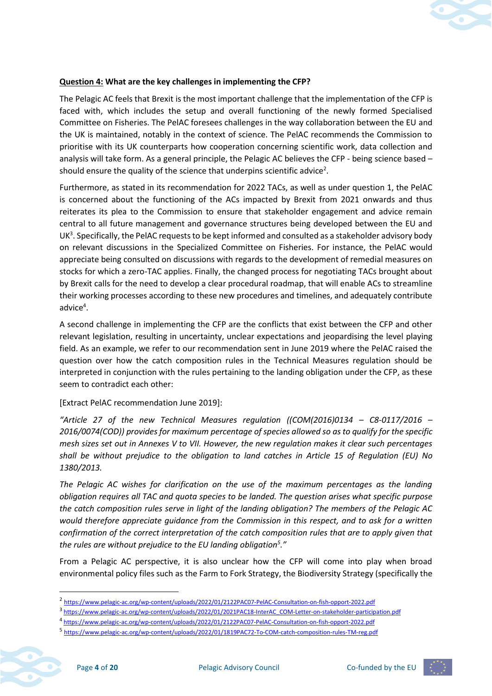

#### **Question 4: What are the key challenges in implementing the CFP?**

The Pelagic AC feels that Brexit is the most important challenge that the implementation of the CFP is faced with, which includes the setup and overall functioning of the newly formed Specialised Committee on Fisheries. The PelAC foresees challenges in the way collaboration between the EU and the UK is maintained, notably in the context of science. The PelAC recommends the Commission to prioritise with its UK counterparts how cooperation concerning scientific work, data collection and analysis will take form. As a general principle, the Pelagic AC believes the CFP - being science based – should ensure the quality of the science that underpins scientific advice<sup>2</sup>.

Furthermore, as stated in its recommendation for 2022 TACs, as well as under question 1, the PelAC is concerned about the functioning of the ACs impacted by Brexit from 2021 onwards and thus reiterates its plea to the Commission to ensure that stakeholder engagement and advice remain central to all future management and governance structures being developed between the EU and UK<sup>3</sup>. Specifically, the PelAC requests to be kept informed and consulted as a stakeholder advisory body on relevant discussions in the Specialized Committee on Fisheries. For instance, the PelAC would appreciate being consulted on discussions with regards to the development of remedial measures on stocks for which a zero-TAC applies. Finally, the changed process for negotiating TACs brought about by Brexit calls for the need to develop a clear procedural roadmap, that will enable ACs to streamline their working processes according to these new procedures and timelines, and adequately contribute advice<sup>4</sup>.

A second challenge in implementing the CFP are the conflicts that exist between the CFP and other relevant legislation, resulting in uncertainty, unclear expectations and jeopardising the level playing field. As an example, we refer to our recommendation sent in June 2019 where the PelAC raised the question over how the catch composition rules in the Technical Measures regulation should be interpreted in conjunction with the rules pertaining to the landing obligation under the CFP, as these seem to contradict each other:

[Extract PelAC recommendation June 2019]:

*"Article 27 of the new Technical Measures regulation ((COM(2016)0134 – C8-0117/2016 – 2016/0074(COD)) provides for maximum percentage of species allowed so as to qualify for the specific mesh sizes set out in Annexes V to VII. However, the new regulation makes it clear such percentages shall be without prejudice to the obligation to land catches in Article 15 of Regulation (EU) No 1380/2013.* 

*The Pelagic AC wishes for clarification on the use of the maximum percentages as the landing obligation requires all TAC and quota species to be landed. The question arises what specific purpose the catch composition rules serve in light of the landing obligation? The members of the Pelagic AC would therefore appreciate guidance from the Commission in this respect, and to ask for a written confirmation of the correct interpretation of the catch composition rules that are to apply given that the rules are without prejudice to the EU landing obligation<sup>5</sup> ."* 

From a Pelagic AC perspective, it is also unclear how the CFP will come into play when broad environmental policy files such as the Farm to Fork Strategy, the Biodiversity Strategy (specifically the



<sup>&</sup>lt;sup>2</sup> <https://www.pelagic-ac.org/wp-content/uploads/2022/01/2122PAC07-PelAC-Consultation-on-fish-opport-2022.pdf>

<sup>3</sup> [https://www.pelagic-ac.org/wp-content/uploads/2022/01/2021PAC18-InterAC\\_COM-Letter-on-stakeholder-participation.pdf](https://www.pelagic-ac.org/wp-content/uploads/2022/01/2021PAC18-InterAC_COM-Letter-on-stakeholder-participation.pdf)

<sup>4</sup> <https://www.pelagic-ac.org/wp-content/uploads/2022/01/2122PAC07-PelAC-Consultation-on-fish-opport-2022.pdf>

<sup>5</sup> <https://www.pelagic-ac.org/wp-content/uploads/2022/01/1819PAC72-To-COM-catch-composition-rules-TM-reg.pdf>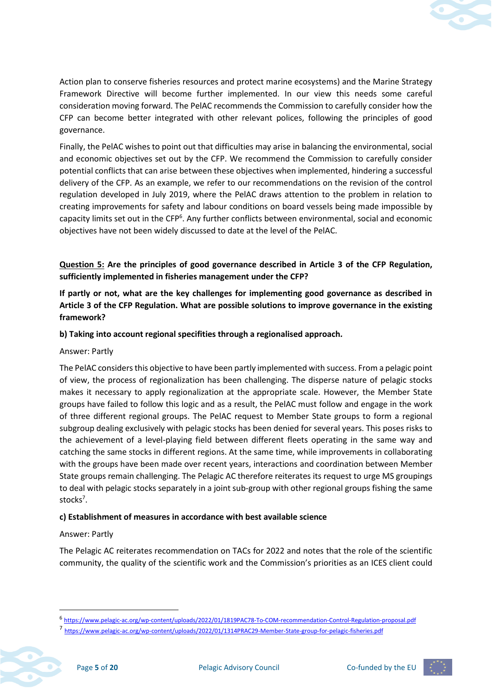

Action plan to conserve fisheries resources and protect marine ecosystems) and the Marine Strategy Framework Directive will become further implemented. In our view this needs some careful consideration moving forward. The PelAC recommends the Commission to carefully consider how the CFP can become better integrated with other relevant polices, following the principles of good governance.

Finally, the PelAC wishes to point out that difficulties may arise in balancing the environmental, social and economic objectives set out by the CFP. We recommend the Commission to carefully consider potential conflicts that can arise between these objectives when implemented, hindering a successful delivery of the CFP. As an example, we refer to our recommendations on the revision of the control regulation developed in July 2019, where the PelAC draws attention to the problem in relation to creating improvements for safety and labour conditions on board vessels being made impossible by capacity limits set out in the CFP<sup>6</sup>. Any further conflicts between environmental, social and economic objectives have not been widely discussed to date at the level of the PelAC.

**Question 5: Are the principles of good governance described in Article 3 of the CFP Regulation, sufficiently implemented in fisheries management under the CFP?**

**If partly or not, what are the key challenges for implementing good governance as described in Article 3 of the CFP Regulation. What are possible solutions to improve governance in the existing framework?**

**b) Taking into account regional specifities through a regionalised approach***.*

#### Answer: Partly

The PelAC considers this objective to have been partly implemented with success. From a pelagic point of view, the process of regionalization has been challenging. The disperse nature of pelagic stocks makes it necessary to apply regionalization at the appropriate scale. However, the Member State groups have failed to follow this logic and as a result, the PelAC must follow and engage in the work of three different regional groups. The PelAC request to Member State groups to form a regional subgroup dealing exclusively with pelagic stocks has been denied for several years. This poses risks to the achievement of a level-playing field between different fleets operating in the same way and catching the same stocks in different regions. At the same time, while improvements in collaborating with the groups have been made over recent years, interactions and coordination between Member State groups remain challenging. The Pelagic AC therefore reiterates its request to urge MS groupings to deal with pelagic stocks separately in a joint sub-group with other regional groups fishing the same stocks<sup>7</sup>.

#### **c) Establishment of measures in accordance with best available science**

#### Answer: Partly

The Pelagic AC reiterates recommendation on TACs for 2022 and notes that the role of the scientific community, the quality of the scientific work and the Commission's priorities as an ICES client could



<sup>6</sup> <https://www.pelagic-ac.org/wp-content/uploads/2022/01/1819PAC78-To-COM-recommendation-Control-Regulation-proposal.pdf>

<sup>7</sup> <https://www.pelagic-ac.org/wp-content/uploads/2022/01/1314PRAC29-Member-State-group-for-pelagic-fisheries.pdf>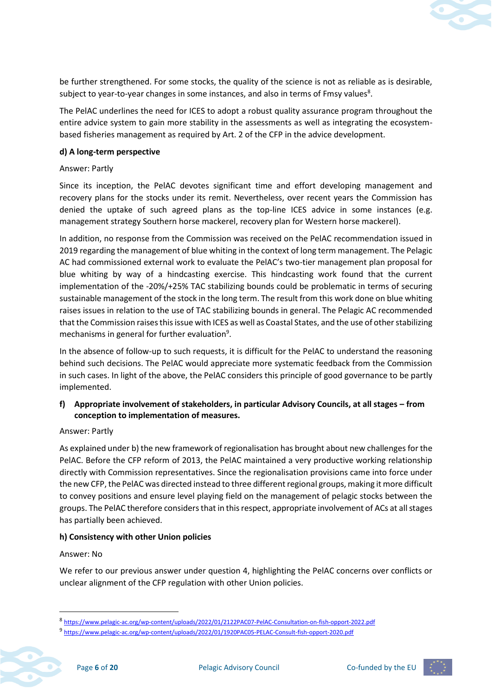

be further strengthened. For some stocks, the quality of the science is not as reliable as is desirable, subject to year-to-year changes in some instances, and also in terms of Fmsy values<sup>8</sup>.

The PelAC underlines the need for ICES to adopt a robust quality assurance program throughout the entire advice system to gain more stability in the assessments as well as integrating the ecosystembased fisheries management as required by Art. 2 of the CFP in the advice development.

#### **d) A long-term perspective**

#### Answer: Partly

Since its inception, the PelAC devotes significant time and effort developing management and recovery plans for the stocks under its remit. Nevertheless, over recent years the Commission has denied the uptake of such agreed plans as the top-line ICES advice in some instances (e.g. management strategy Southern horse mackerel, recovery plan for Western horse mackerel).

In addition, no response from the Commission was received on the PelAC recommendation issued in 2019 regarding the management of blue whiting in the context of long term management. The Pelagic AC had commissioned external work to evaluate the PelAC's two-tier management plan proposal for blue whiting by way of a hindcasting exercise. This hindcasting work found that the current implementation of the -20%/+25% TAC stabilizing bounds could be problematic in terms of securing sustainable management of the stock in the long term. The result from this work done on blue whiting raises issues in relation to the use of TAC stabilizing bounds in general. The Pelagic AC recommended that the Commission raises this issue with ICES as well as Coastal States, and the use of other stabilizing mechanisms in general for further evaluation<sup>9</sup>.

In the absence of follow-up to such requests, it is difficult for the PelAC to understand the reasoning behind such decisions. The PelAC would appreciate more systematic feedback from the Commission in such cases. In light of the above, the PelAC considers this principle of good governance to be partly implemented.

#### **f) Appropriate involvement of stakeholders, in particular Advisory Councils, at all stages – from conception to implementation of measures.**

#### Answer: Partly

As explained under b) the new framework of regionalisation has brought about new challenges for the PelAC. Before the CFP reform of 2013, the PelAC maintained a very productive working relationship directly with Commission representatives. Since the regionalisation provisions came into force under the new CFP, the PelAC was directed instead to three different regional groups, making it more difficult to convey positions and ensure level playing field on the management of pelagic stocks between the groups. The PelAC therefore considers that in this respect, appropriate involvement of ACs at all stages has partially been achieved.

#### **h) Consistency with other Union policies**

#### Answer: No

We refer to our previous answer under question 4, highlighting the PelAC concerns over conflicts or unclear alignment of the CFP regulation with other Union policies.



<sup>8</sup> <https://www.pelagic-ac.org/wp-content/uploads/2022/01/2122PAC07-PelAC-Consultation-on-fish-opport-2022.pdf>

<sup>9</sup> <https://www.pelagic-ac.org/wp-content/uploads/2022/01/1920PAC05-PELAC-Consult-fish-opport-2020.pdf>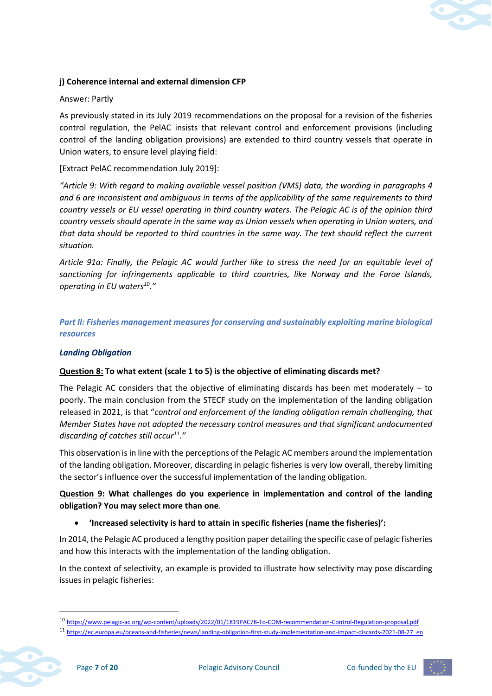# ٠

#### **j) Coherence internal and external dimension CFP**

#### Answer: Partly

As previously stated in its July 2019 recommendations on the proposal for a revision of the fisheries control regulation, the PelAC insists that relevant control and enforcement provisions (including control of the landing obligation provisions) are extended to third country vessels that operate in Union waters, to ensure level playing field:

#### [Extract PelAC recommendation July 2019]:

*"Article 9: With regard to making available vessel position (VMS) data, the wording in paragraphs 4 and 6 are inconsistent and ambiguous in terms of the applicability of the same requirements to third country vessels or EU vessel operating in third country waters. The Pelagic AC is of the opinion third country vessels should operate in the same way as Union vessels when operating in Union waters, and that data should be reported to third countries in the same way. The text should reflect the current situation.*

*Article 91a: Finally, the Pelagic AC would further like to stress the need for an equitable level of sanctioning for infringements applicable to third countries, like Norway and the Faroe Islands, operating in EU waters<sup>10</sup>."*

*Part II: Fisheries management measures for conserving and sustainably exploiting marine biological resources*

#### *Landing Obligation*

#### **Question 8: To what extent (scale 1 to 5) is the objective of eliminating discards met?**

The Pelagic AC considers that the objective of eliminating discards has been met moderately – to poorly. The main conclusion from the STECF study on the implementation of the landing obligation released in 2021, is that "*control and enforcement of the landing obligation remain challenging, that Member States have not adopted the necessary control measures and that significant undocumented discarding of catches still occur<sup>11</sup>."*

This observation is in line with the perceptions of the Pelagic AC members around the implementation of the landing obligation. Moreover, discarding in pelagic fisheries is very low overall, thereby limiting the sector's influence over the successful implementation of the landing obligation.

**Question 9: What challenges do you experience in implementation and control of the landing obligation? You may select more than one***.*

#### • **'Increased selectivity is hard to attain in specific fisheries (name the fisheries)':**

In 2014, the Pelagic AC produced a lengthy position paper detailing the specific case of pelagic fisheries and how this interacts with the implementation of the landing obligation.

In the context of selectivity, an example is provided to illustrate how selectivity may pose discarding issues in pelagic fisheries:



<sup>10</sup> <https://www.pelagic-ac.org/wp-content/uploads/2022/01/1819PAC78-To-COM-recommendation-Control-Regulation-proposal.pdf>

<sup>11</sup> [https://ec.europa.eu/oceans-and-fisheries/news/landing-obligation-first-study-implementation-and-impact-discards-2021-08-27\\_en](https://ec.europa.eu/oceans-and-fisheries/news/landing-obligation-first-study-implementation-and-impact-discards-2021-08-27_en)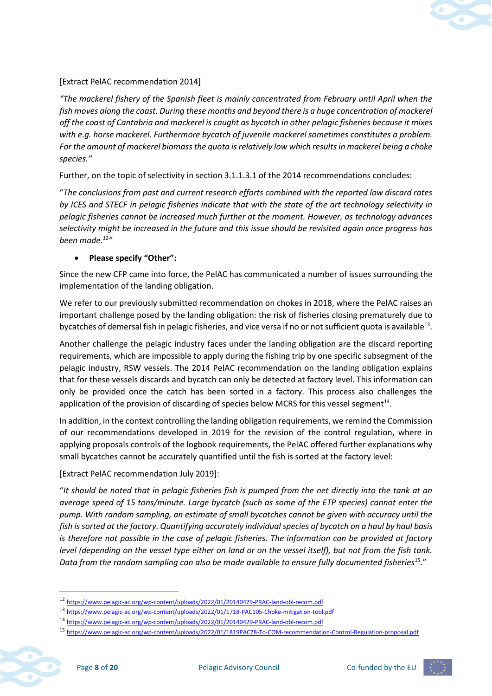

#### [Extract PelAC recommendation 2014]

*"The mackerel fishery of the Spanish fleet is mainly concentrated from February until April when the fish moves along the coast. During these months and beyond there is a huge concentration of mackerel off the coast of Cantabria and mackerel is caught as bycatch in other pelagic fisheries because it mixes with e.g. horse mackerel. Furthermore bycatch of juvenile mackerel sometimes constitutes a problem. For the amount of mackerel biomass the quota is relatively low which results in mackerel being a choke species."*

Further, on the topic of selectivity in section 3.1.1.3.1 of the 2014 recommendations concludes:

"*The conclusions from past and current research efforts combined with the reported low discard rates by ICES and STECF in pelagic fisheries indicate that with the state of the art technology selectivity in pelagic fisheries cannot be increased much further at the moment. However, as technology advances selectivity might be increased in the future and this issue should be revisited again once progress has been made.<sup>12</sup> "*

#### • **Please specify "Other":**

Since the new CFP came into force, the PelAC has communicated a number of issues surrounding the implementation of the landing obligation.

We refer to our previously submitted recommendation on chokes in 2018, where the PelAC raises an important challenge posed by the landing obligation: the risk of fisheries closing prematurely due to bycatches of demersal fish in pelagic fisheries, and vice versa if no or not sufficient quota is available<sup>13</sup>.

Another challenge the pelagic industry faces under the landing obligation are the discard reporting requirements, which are impossible to apply during the fishing trip by one specific subsegment of the pelagic industry, RSW vessels. The 2014 PelAC recommendation on the landing obligation explains that for these vessels discards and bycatch can only be detected at factory level. This information can only be provided once the catch has been sorted in a factory. This process also challenges the application of the provision of discarding of species below MCRS for this vessel segment $^{14}$ .

In addition, in the context controlling the landing obligation requirements, we remind the Commission of our recommendations developed in 2019 for the revision of the control regulation, where in applying proposals controls of the logbook requirements, the PelAC offered further explanations why small bycatches cannot be accurately quantified until the fish is sorted at the factory level:

#### [Extract PelAC recommendation July 2019]:

"*It should be noted that in pelagic fisheries fish is pumped from the net directly into the tank at an average speed of 15 tons/minute. Large bycatch (such as some of the ETP species) cannot enter the pump. With random sampling, an estimate of small bycatches cannot be given with accuracy until the fish is sorted at the factory. Quantifying accurately individual species of bycatch on a haul by haul basis is therefore not possible in the case of pelagic fisheries. The information can be provided at factory level (depending on the vessel type either on land or on the vessel itself), but not from the fish tank.*  Data from the random sampling can also be made available to ensure fully documented fisheries<sup>15</sup>."



<sup>12</sup> <https://www.pelagic-ac.org/wp-content/uploads/2022/01/20140429-PRAC-land-obl-recom.pdf>

<sup>13</sup> <https://www.pelagic-ac.org/wp-content/uploads/2022/01/1718-PAC105-Choke-mitigation-tool.pdf>

<sup>14</sup> <https://www.pelagic-ac.org/wp-content/uploads/2022/01/20140429-PRAC-land-obl-recom.pdf>

<sup>15</sup> <https://www.pelagic-ac.org/wp-content/uploads/2022/01/1819PAC78-To-COM-recommendation-Control-Regulation-proposal.pdf>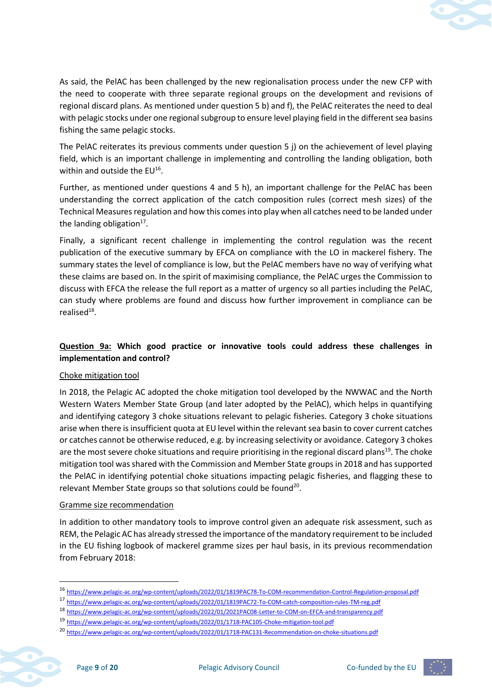

As said, the PelAC has been challenged by the new regionalisation process under the new CFP with the need to cooperate with three separate regional groups on the development and revisions of regional discard plans. As mentioned under question 5 b) and f), the PelAC reiterates the need to deal with pelagic stocks under one regional subgroup to ensure level playing field in the different sea basins fishing the same pelagic stocks.

The PelAC reiterates its previous comments under question 5 j) on the achievement of level playing field, which is an important challenge in implementing and controlling the landing obligation, both within and outside the EU<sup>16</sup>.

Further, as mentioned under questions 4 and 5 h), an important challenge for the PelAC has been understanding the correct application of the catch composition rules (correct mesh sizes) of the Technical Measures regulation and how this comes into play when all catches need to be landed under the landing obligation<sup>17</sup>.

Finally, a significant recent challenge in implementing the control regulation was the recent publication of the executive summary by EFCA on compliance with the LO in mackerel fishery. The summary states the level of compliance is low, but the PelAC members have no way of verifying what these claims are based on. In the spirit of maximising compliance, the PelAC urges the Commission to discuss with EFCA the release the full report as a matter of urgency so all parties including the PelAC, can study where problems are found and discuss how further improvement in compliance can be realised<sup>18</sup>.

# **Question 9a: Which good practice or innovative tools could address these challenges in implementation and control?**

#### Choke mitigation tool

In 2018, the Pelagic AC adopted the choke mitigation tool developed by the NWWAC and the North Western Waters Member State Group (and later adopted by the PelAC), which helps in quantifying and identifying category 3 choke situations relevant to pelagic fisheries. Category 3 choke situations arise when there is insufficient quota at EU level within the relevant sea basin to cover current catches or catches cannot be otherwise reduced, e.g. by increasing selectivity or avoidance. Category 3 chokes are the most severe choke situations and require prioritising in the regional discard plans<sup>19</sup>. The choke mitigation tool was shared with the Commission and Member State groups in 2018 and has supported the PelAC in identifying potential choke situations impacting pelagic fisheries, and flagging these to relevant Member State groups so that solutions could be found<sup>20</sup>.

#### Gramme size recommendation

In addition to other mandatory tools to improve control given an adequate risk assessment, such as REM, the Pelagic AC has already stressed the importance of the mandatory requirement to be included in the EU fishing logbook of mackerel gramme sizes per haul basis, in its previous recommendation from February 2018:



<sup>16</sup> <https://www.pelagic-ac.org/wp-content/uploads/2022/01/1819PAC78-To-COM-recommendation-Control-Regulation-proposal.pdf>

<sup>17</sup> <https://www.pelagic-ac.org/wp-content/uploads/2022/01/1819PAC72-To-COM-catch-composition-rules-TM-reg.pdf>

<sup>18</sup> <https://www.pelagic-ac.org/wp-content/uploads/2022/01/2021PAC08-Letter-to-COM-on-EFCA-and-transparency.pdf>

<sup>19</sup> <https://www.pelagic-ac.org/wp-content/uploads/2022/01/1718-PAC105-Choke-mitigation-tool.pdf>

<sup>20</sup> <https://www.pelagic-ac.org/wp-content/uploads/2022/01/1718-PAC131-Recommendation-on-choke-situations.pdf>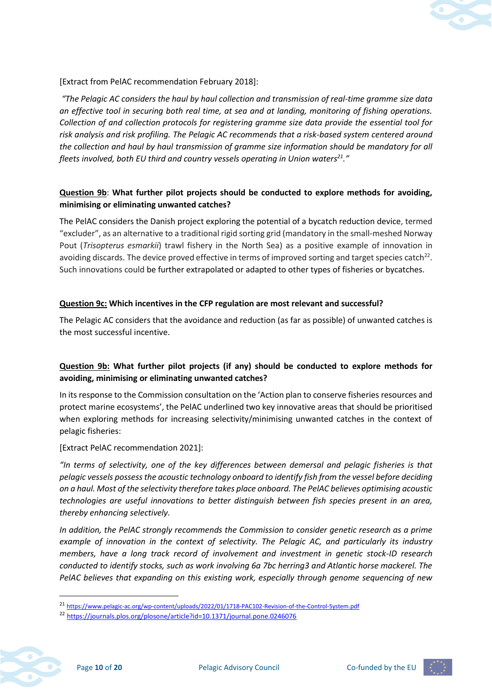

[Extract from PelAC recommendation February 2018]:

*"The Pelagic AC considers the haul by haul collection and transmission of real-time gramme size data an effective tool in securing both real time, at sea and at landing, monitoring of fishing operations. Collection of and collection protocols for registering gramme size data provide the essential tool for risk analysis and risk profiling. The Pelagic AC recommends that a risk-based system centered around the collection and haul by haul transmission of gramme size information should be mandatory for all fleets involved, both EU third and country vessels operating in Union waters<sup>21</sup>."*

# **Question 9b**: **What further pilot projects should be conducted to explore methods for avoiding, minimising or eliminating unwanted catches?**

The PelAC considers the Danish project exploring the potential of a bycatch reduction device, termed "excluder", as an alternative to a traditional rigid sorting grid (mandatory in the small-meshed Norway Pout (*Trisopterus esmarkii*) trawl fishery in the North Sea) as a positive example of innovation in avoiding discards. The device proved effective in terms of improved sorting and target species catch<sup>22</sup>. Such innovations could be further extrapolated or adapted to other types of fisheries or bycatches.

#### **Question 9c: Which incentives in the CFP regulation are most relevant and successful?**

The Pelagic AC considers that the avoidance and reduction (as far as possible) of unwanted catches is the most successful incentive.

# **Question 9b: What further pilot projects (if any) should be conducted to explore methods for avoiding, minimising or eliminating unwanted catches?**

In its response to the Commission consultation on the 'Action plan to conserve fisheries resources and protect marine ecosystems', the PelAC underlined two key innovative areas that should be prioritised when exploring methods for increasing selectivity/minimising unwanted catches in the context of pelagic fisheries:

[Extract PelAC recommendation 2021]:

*"In terms of selectivity, one of the key differences between demersal and pelagic fisheries is that pelagic vessels possess the acoustic technology onboard to identify fish from the vessel before deciding on a haul. Most of the selectivity therefore takes place onboard. The PelAC believes optimising acoustic technologies are useful innovations to better distinguish between fish species present in an area, thereby enhancing selectively.* 

*In addition, the PelAC strongly recommends the Commission to consider genetic research as a prime example of innovation in the context of selectivity. The Pelagic AC, and particularly its industry members, have a long track record of involvement and investment in genetic stock-ID research conducted to identify stocks, such as work involving 6a 7bc herring3 and Atlantic horse mackerel. The PelAC believes that expanding on this existing work, especially through genome sequencing of new* 



<sup>21</sup> <https://www.pelagic-ac.org/wp-content/uploads/2022/01/1718-PAC102-Revision-of-the-Control-System.pdf>

<sup>22</sup> <https://journals.plos.org/plosone/article?id=10.1371/journal.pone.0246076>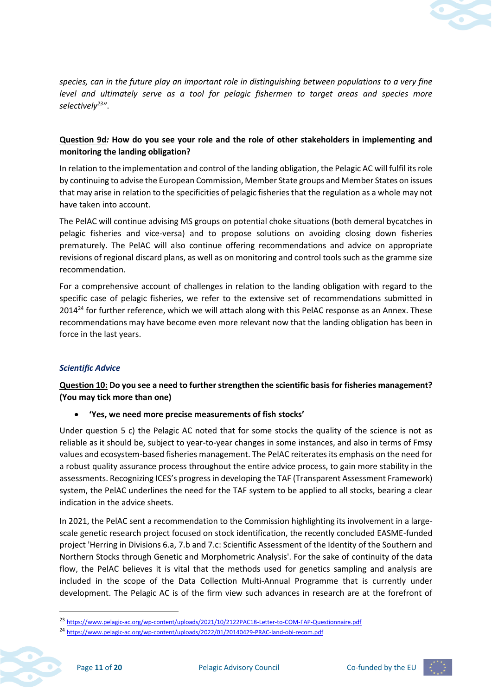

*species, can in the future play an important role in distinguishing between populations to a very fine level and ultimately serve as a tool for pelagic fishermen to target areas and species more selectively<sup>23</sup> "*.

# **Question 9d***:* **How do you see your role and the role of other stakeholders in implementing and monitoring the landing obligation?**

In relation to the implementation and control of the landing obligation, the Pelagic AC will fulfil its role by continuing to advise the European Commission, Member State groups and Member States on issues that may arise in relation to the specificities of pelagic fisheries that the regulation as a whole may not have taken into account.

The PelAC will continue advising MS groups on potential choke situations (both demeral bycatches in pelagic fisheries and vice-versa) and to propose solutions on avoiding closing down fisheries prematurely. The PelAC will also continue offering recommendations and advice on appropriate revisions of regional discard plans, as well as on monitoring and control tools such as the gramme size recommendation.

For a comprehensive account of challenges in relation to the landing obligation with regard to the specific case of pelagic fisheries, we refer to the extensive set of recommendations submitted in  $2014<sup>24</sup>$  for further reference, which we will attach along with this PelAC response as an Annex. These recommendations may have become even more relevant now that the landing obligation has been in force in the last years.

#### *Scientific Advice*

**Question 10: Do you see a need to further strengthen the scientific basis for fisheries management? (You may tick more than one)**

#### • **'Yes, we need more precise measurements of fish stocks'**

Under question 5 c) the Pelagic AC noted that for some stocks the quality of the science is not as reliable as it should be, subject to year-to-year changes in some instances, and also in terms of Fmsy values and ecosystem-based fisheries management. The PelAC reiterates its emphasis on the need for a robust quality assurance process throughout the entire advice process, to gain more stability in the assessments. Recognizing ICES's progress in developing the TAF (Transparent Assessment Framework) system, the PelAC underlines the need for the TAF system to be applied to all stocks, bearing a clear indication in the advice sheets.

In 2021, the PelAC sent a recommendation to the Commission highlighting its involvement in a largescale genetic research project focused on stock identification, the recently concluded EASME-funded project 'Herring in Divisions 6.a, 7.b and 7.c: Scientific Assessment of the Identity of the Southern and Northern Stocks through Genetic and Morphometric Analysis'. For the sake of continuity of the data flow, the PelAC believes it is vital that the methods used for genetics sampling and analysis are included in the scope of the Data Collection Multi-Annual Programme that is currently under development. The Pelagic AC is of the firm view such advances in research are at the forefront of



<sup>23</sup> <https://www.pelagic-ac.org/wp-content/uploads/2021/10/2122PAC18-Letter-to-COM-FAP-Questionnaire.pdf>

<sup>24</sup> <https://www.pelagic-ac.org/wp-content/uploads/2022/01/20140429-PRAC-land-obl-recom.pdf>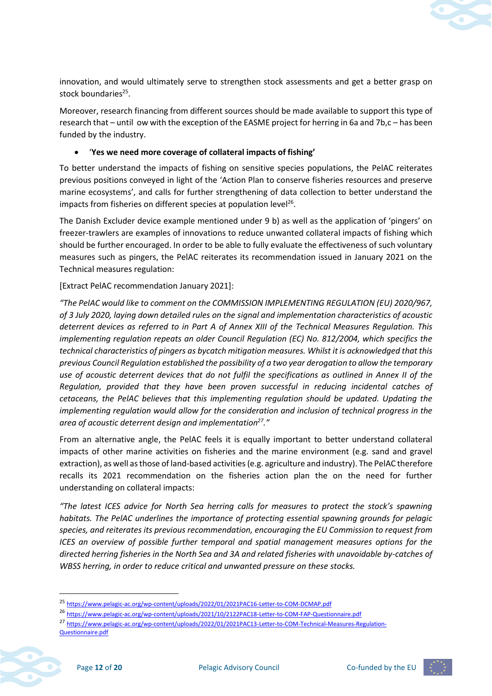

innovation, and would ultimately serve to strengthen stock assessments and get a better grasp on stock boundaries<sup>25</sup>.

Moreover, research financing from different sources should be made available to support this type of research that – until ow with the exception of the EASME project for herring in 6a and 7b,c – has been funded by the industry.

#### • '**Yes we need more coverage of collateral impacts of fishing'**

To better understand the impacts of fishing on sensitive species populations, the PelAC reiterates previous positions conveyed in light of the 'Action Plan to conserve fisheries resources and preserve marine ecosystems', and calls for further strengthening of data collection to better understand the impacts from fisheries on different species at population level<sup>26</sup>.

The Danish Excluder device example mentioned under 9 b) as well as the application of 'pingers' on freezer-trawlers are examples of innovations to reduce unwanted collateral impacts of fishing which should be further encouraged. In order to be able to fully evaluate the effectiveness of such voluntary measures such as pingers, the PelAC reiterates its recommendation issued in January 2021 on the Technical measures regulation:

#### [Extract PelAC recommendation January 2021]:

*"The PelAC would like to comment on the COMMISSION IMPLEMENTING REGULATION (EU) 2020/967, of 3 July 2020, laying down detailed rules on the signal and implementation characteristics of acoustic deterrent devices as referred to in Part A of Annex XIII of the Technical Measures Regulation. This implementing regulation repeats an older Council Regulation (EC) No. 812/2004, which specifics the technical characteristics of pingers as bycatch mitigation measures. Whilst it is acknowledged that this previous Council Regulation established the possibility of a two year derogation to allow the temporary use of acoustic deterrent devices that do not fulfil the specifications as outlined in Annex II of the Regulation, provided that they have been proven successful in reducing incidental catches of cetaceans, the PelAC believes that this implementing regulation should be updated. Updating the implementing regulation would allow for the consideration and inclusion of technical progress in the area of acoustic deterrent design and implementation<sup>27</sup> ."* 

From an alternative angle, the PelAC feels it is equally important to better understand collateral impacts of other marine activities on fisheries and the marine environment (e.g. sand and gravel extraction), as well as those of land-based activities (e.g. agriculture and industry). The PelAC therefore recalls its 2021 recommendation on the fisheries action plan the on the need for further understanding on collateral impacts:

*"The latest ICES advice for North Sea herring calls for measures to protect the stock's spawning habitats. The PelAC underlines the importance of protecting essential spawning grounds for pelagic species, and reiterates its previous recommendation, encouraging the EU Commission to request from ICES an overview of possible further temporal and spatial management measures options for the directed herring fisheries in the North Sea and 3A and related fisheries with unavoidable by-catches of WBSS herring, in order to reduce critical and unwanted pressure on these stocks.* 



<sup>25</sup> <https://www.pelagic-ac.org/wp-content/uploads/2022/01/2021PAC16-Letter-to-COM-DCMAP.pdf>

<sup>26</sup> <https://www.pelagic-ac.org/wp-content/uploads/2021/10/2122PAC18-Letter-to-COM-FAP-Questionnaire.pdf>

<sup>27</sup> [https://www.pelagic-ac.org/wp-content/uploads/2022/01/2021PAC13-Letter-to-COM-Technical-Measures-Regulation-](https://www.pelagic-ac.org/wp-content/uploads/2022/01/2021PAC13-Letter-to-COM-Technical-Measures-Regulation-Questionnaire.pdf)[Questionnaire.pdf](https://www.pelagic-ac.org/wp-content/uploads/2022/01/2021PAC13-Letter-to-COM-Technical-Measures-Regulation-Questionnaire.pdf)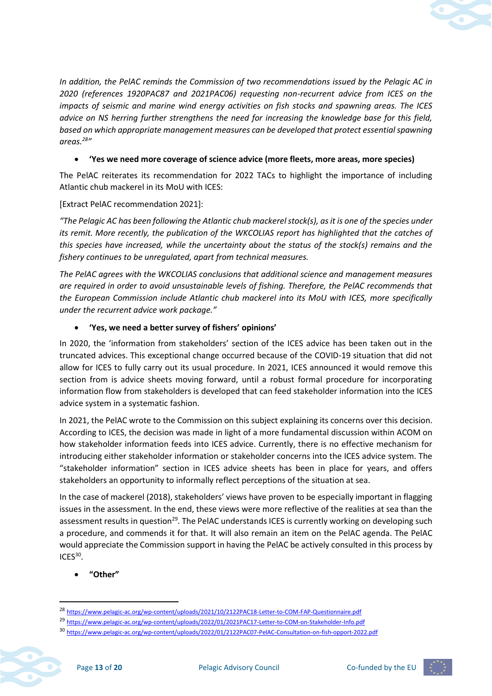

*In addition, the PelAC reminds the Commission of two recommendations issued by the Pelagic AC in 2020 (references 1920PAC87 and 2021PAC06) requesting non-recurrent advice from ICES on the impacts of seismic and marine wind energy activities on fish stocks and spawning areas. The ICES advice on NS herring further strengthens the need for increasing the knowledge base for this field, based on which appropriate management measures can be developed that protect essential spawning areas.<sup>28</sup> "*

# • **'Yes we need more coverage of science advice (more fleets, more areas, more species)**

The PelAC reiterates its recommendation for 2022 TACs to highlight the importance of including Atlantic chub mackerel in its MoU with ICES:

[Extract PelAC recommendation 2021]:

*"The Pelagic AC has been following the Atlantic chub mackerel stock(s), as it is one of the species under its remit. More recently, the publication of the WKCOLIAS report has highlighted that the catches of this species have increased, while the uncertainty about the status of the stock(s) remains and the fishery continues to be unregulated, apart from technical measures.* 

*The PelAC agrees with the WKCOLIAS conclusions that additional science and management measures are required in order to avoid unsustainable levels of fishing. Therefore, the PelAC recommends that the European Commission include Atlantic chub mackerel into its MoU with ICES, more specifically under the recurrent advice work package."* 

# • **'Yes, we need a better survey of fishers' opinions'**

In 2020, the 'information from stakeholders' section of the ICES advice has been taken out in the truncated advices. This exceptional change occurred because of the COVID-19 situation that did not allow for ICES to fully carry out its usual procedure. In 2021, ICES announced it would remove this section from is advice sheets moving forward, until a robust formal procedure for incorporating information flow from stakeholders is developed that can feed stakeholder information into the ICES advice system in a systematic fashion.

In 2021, the PelAC wrote to the Commission on this subject explaining its concerns over this decision. According to ICES, the decision was made in light of a more fundamental discussion within ACOM on how stakeholder information feeds into ICES advice. Currently, there is no effective mechanism for introducing either stakeholder information or stakeholder concerns into the ICES advice system. The "stakeholder information" section in ICES advice sheets has been in place for years, and offers stakeholders an opportunity to informally reflect perceptions of the situation at sea.

In the case of mackerel (2018), stakeholders' views have proven to be especially important in flagging issues in the assessment. In the end, these views were more reflective of the realities at sea than the assessment results in question<sup>29</sup>. The PelAC understands ICES is currently working on developing such a procedure, and commends it for that. It will also remain an item on the PelAC agenda. The PelAC would appreciate the Commission support in having the PelAC be actively consulted in this process by  $ICES<sup>30</sup>$ .

# • **"Other"**



<sup>28</sup> <https://www.pelagic-ac.org/wp-content/uploads/2021/10/2122PAC18-Letter-to-COM-FAP-Questionnaire.pdf>

<sup>29</sup> <https://www.pelagic-ac.org/wp-content/uploads/2022/01/2021PAC17-Letter-to-COM-on-Stakeholder-Info.pdf>

<sup>30</sup> <https://www.pelagic-ac.org/wp-content/uploads/2022/01/2122PAC07-PelAC-Consultation-on-fish-opport-2022.pdf>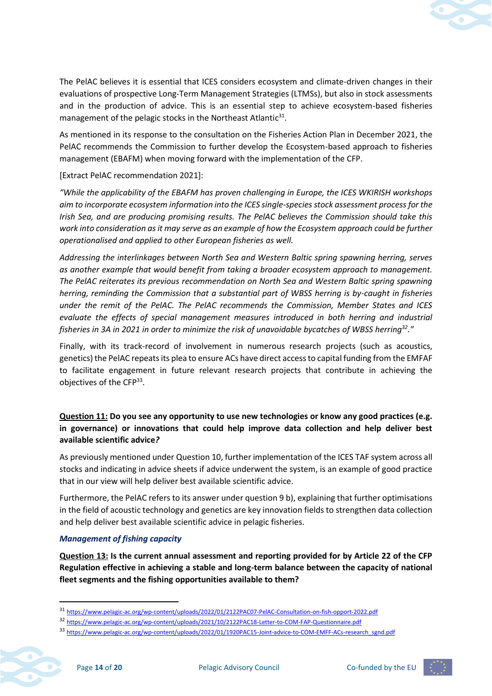

The PelAC believes it is essential that ICES considers ecosystem and climate-driven changes in their evaluations of prospective Long-Term Management Strategies (LTMSs), but also in stock assessments and in the production of advice. This is an essential step to achieve ecosystem-based fisheries management of the pelagic stocks in the Northeast Atlantic<sup>31</sup>.

As mentioned in its response to the consultation on the Fisheries Action Plan in December 2021, the PelAC recommends the Commission to further develop the Ecosystem-based approach to fisheries management (EBAFM) when moving forward with the implementation of the CFP.

#### [Extract PelAC recommendation 2021]:

*"While the applicability of the EBAFM has proven challenging in Europe, the ICES WKIRISH workshops aim to incorporate ecosystem information into the ICES single-species stock assessment process for the Irish Sea, and are producing promising results. The PelAC believes the Commission should take this work into consideration as it may serve as an example of how the Ecosystem approach could be further operationalised and applied to other European fisheries as well.* 

*Addressing the interlinkages between North Sea and Western Baltic spring spawning herring, serves as another example that would benefit from taking a broader ecosystem approach to management. The PelAC reiterates its previous recommendation on North Sea and Western Baltic spring spawning herring, reminding the Commission that a substantial part of WBSS herring is by-caught in fisheries under the remit of the PelAC. The PelAC recommends the Commission, Member States and ICES evaluate the effects of special management measures introduced in both herring and industrial fisheries in 3A in 2021 in order to minimize the risk of unavoidable bycatches of WBSS herring<sup>32</sup>."*

Finally, with its track-record of involvement in numerous research projects (such as acoustics, genetics) the PelAC repeats its plea to ensure ACs have direct access to capital funding from the EMFAF to facilitate engagement in future relevant research projects that contribute in achieving the objectives of the CFP<sup>33</sup>.

# **Question 11: Do you see any opportunity to use new technologies or know any good practices (e.g. in governance) or innovations that could help improve data collection and help deliver best available scientific advice***?*

As previously mentioned under Question 10, further implementation of the ICES TAF system across all stocks and indicating in advice sheets if advice underwent the system, is an example of good practice that in our view will help deliver best available scientific advice.

Furthermore, the PelAC refers to its answer under question 9 b), explaining that further optimisations in the field of acoustic technology and genetics are key innovation fields to strengthen data collection and help deliver best available scientific advice in pelagic fisheries.

#### *Management of fishing capacity*

**Question 13: Is the current annual assessment and reporting provided for by Article 22 of the CFP Regulation effective in achieving a stable and long-term balance between the capacity of national fleet segments and the fishing opportunities available to them?** 



<sup>31</sup> <https://www.pelagic-ac.org/wp-content/uploads/2022/01/2122PAC07-PelAC-Consultation-on-fish-opport-2022.pdf>

<sup>32</sup> <https://www.pelagic-ac.org/wp-content/uploads/2021/10/2122PAC18-Letter-to-COM-FAP-Questionnaire.pdf>

<sup>33</sup> [https://www.pelagic-ac.org/wp-content/uploads/2022/01/1920PAC15-Joint-advice-to-COM-EMFF-ACs-research\\_sgnd.pdf](https://www.pelagic-ac.org/wp-content/uploads/2022/01/1920PAC15-Joint-advice-to-COM-EMFF-ACs-research_sgnd.pdf)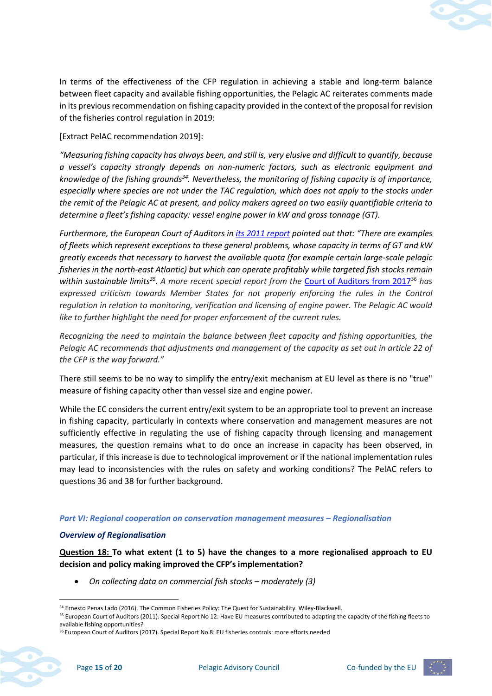

In terms of the effectiveness of the CFP regulation in achieving a stable and long-term balance between fleet capacity and available fishing opportunities, the Pelagic AC reiterates comments made in its previous recommendation on fishing capacity provided in the context of the proposal for revision of the fisheries control regulation in 2019:

#### [Extract PelAC recommendation 2019]:

*"Measuring fishing capacity has always been, and still is, very elusive and difficult to quantify, because a vessel's capacity strongly depends on non-numeric factors, such as electronic equipment and knowledge of the fishing grounds<sup>34</sup>. Nevertheless, the monitoring of fishing capacity is of importance, especially where species are not under the TAC regulation, which does not apply to the stocks under the remit of the Pelagic AC at present, and policy makers agreed on two easily quantifiable criteria to determine a fleet's fishing capacity: vessel engine power in kW and gross tonnage (GT).*

*Furthermore, the European Court of Auditors in [its 2011 report](https://www.eca.europa.eu/Lists/ECADocuments/SR11_12/SR11_12_EN.PDF) pointed out that: "There are examples of fleets which represent exceptions to these general problems, whose capacity in terms of GT and kW greatly exceeds that necessary to harvest the available quota (for example certain large-scale pelagic fisheries in the north-east Atlantic) but which can operate profitably while targeted fish stocks remain*  within sustainable limits<sup>35</sup>. A more recent special report from the [Court of Auditors from 2017](http://publications.europa.eu/webpub/eca/special-reports/fisheries-08-2017/en/)<sup>36</sup> has *expressed criticism towards Member States for not properly enforcing the rules in the Control regulation in relation to monitoring, verification and licensing of engine power. The Pelagic AC would like to further highlight the need for proper enforcement of the current rules.*

*Recognizing the need to maintain the balance between fleet capacity and fishing opportunities, the Pelagic AC recommends that adjustments and management of the capacity as set out in article 22 of the CFP is the way forward."*

There still seems to be no way to simplify the entry/exit mechanism at EU level as there is no "true" measure of fishing capacity other than vessel size and engine power.

While the EC considers the current entry/exit system to be an appropriate tool to prevent an increase in fishing capacity, particularly in contexts where conservation and management measures are not sufficiently effective in regulating the use of fishing capacity through licensing and management measures, the question remains what to do once an increase in capacity has been observed, in particular, if this increase is due to technological improvement or if the national implementation rules may lead to inconsistencies with the rules on safety and working conditions? The PelAC refers to questions 36 and 38 for further background.

#### *Part VI: Regional cooperation on conservation management measures – Regionalisation*

#### *Overview of Regionalisation*

**Question 18: To what extent (1 to 5) have the changes to a more regionalised approach to EU decision and policy making improved the CFP's implementation?**

• *On collecting data on commercial fish stocks – moderately (3)*

<sup>35</sup> European Court of Auditors (2011). Special Report No 12: Have EU measures contributed to adapting the capacity of the fishing fleets to available fishing opportunities?



<sup>&</sup>lt;sup>34</sup> Ernesto Penas Lado (2016). The Common Fisheries Policy: The Quest for Sustainability. Wiley-Blackwell.

<sup>&</sup>lt;sup>36</sup> European Court of Auditors (2017). Special Report No 8: EU fisheries controls: more efforts needed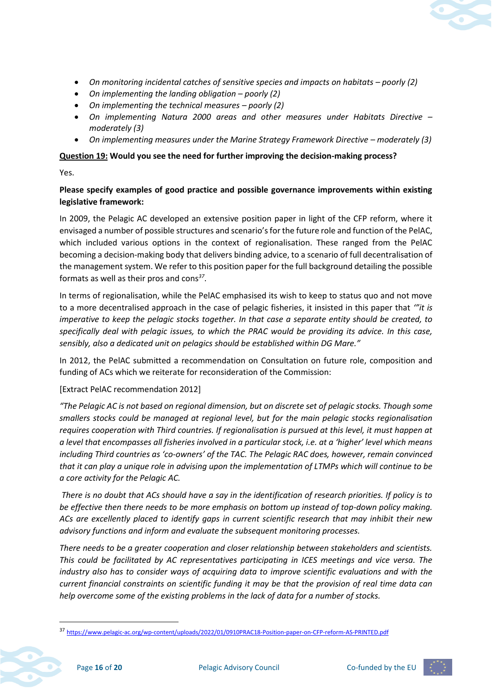- On monitoring incidental catches of sensitive species and impacts on habitats poorly (2)
- *On implementing the landing obligation – poorly (2)*
- *On implementing the technical measures – poorly (2)*
- *On implementing Natura 2000 areas and other measures under Habitats Directive – moderately (3)*
- *On implementing measures under the Marine Strategy Framework Directive – moderately (3)*

# **Question 19: Would you see the need for further improving the decision-making process?**

Yes.

# **Please specify examples of good practice and possible governance improvements within existing legislative framework:**

In 2009, the Pelagic AC developed an extensive position paper in light of the CFP reform, where it envisaged a number of possible structures and scenario's for the future role and function of the PelAC, which included various options in the context of regionalisation. These ranged from the PelAC becoming a decision-making body that delivers binding advice, to a scenario of full decentralisation of the management system. We refer to this position paper for the full background detailing the possible formats as well as their pros and cons*<sup>37</sup>* .

In terms of regionalisation, while the PelAC emphasised its wish to keep to status quo and not move to a more decentralised approach in the case of pelagic fisheries, it insisted in this paper that *'"it is imperative to keep the pelagic stocks together. In that case a separate entity should be created, to specifically deal with pelagic issues, to which the PRAC would be providing its advice. In this case, sensibly, also a dedicated unit on pelagics should be established within DG Mare."*

In 2012, the PelAC submitted a recommendation on Consultation on future role, composition and funding of ACs which we reiterate for reconsideration of the Commission:

# [Extract PelAC recommendation 2012]

*"The Pelagic AC is not based on regional dimension, but on discrete set of pelagic stocks. Though some smallers stocks could be managed at regional level, but for the main pelagic stocks regionalisation requires cooperation with Third countries. If regionalisation is pursued at this level, it must happen at a level that encompasses all fisheries involved in a particular stock, i.e. at a 'higher' level which means including Third countries as 'co-owners' of the TAC. The Pelagic RAC does, however, remain convinced that it can play a unique role in advising upon the implementation of LTMPs which will continue to be a core activity for the Pelagic AC.* 

*There is no doubt that ACs should have a say in the identification of research priorities. If policy is to be effective then there needs to be more emphasis on bottom up instead of top-down policy making. ACs are excellently placed to identify gaps in current scientific research that may inhibit their new advisory functions and inform and evaluate the subsequent monitoring processes.*

*There needs to be a greater cooperation and closer relationship between stakeholders and scientists. This could be facilitated by AC representatives participating in ICES meetings and vice versa. The industry also has to consider ways of acquiring data to improve scientific evaluations and with the current financial constraints on scientific funding it may be that the provision of real time data can help overcome some of the existing problems in the lack of data for a number of stocks.*



<sup>37</sup> <https://www.pelagic-ac.org/wp-content/uploads/2022/01/0910PRAC18-Position-paper-on-CFP-reform-AS-PRINTED.pdf>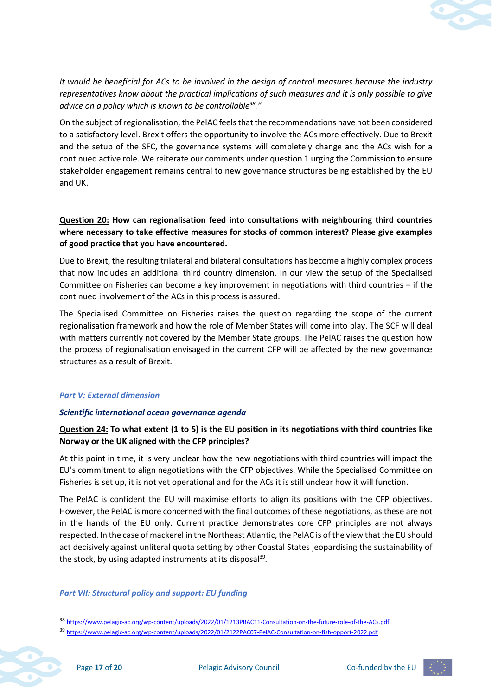

*It would be beneficial for ACs to be involved in the design of control measures because the industry representatives know about the practical implications of such measures and it is only possible to give advice on a policy which is known to be controllable<sup>38</sup> ."* 

On the subject of regionalisation, the PelAC feels that the recommendations have not been considered to a satisfactory level. Brexit offers the opportunity to involve the ACs more effectively. Due to Brexit and the setup of the SFC, the governance systems will completely change and the ACs wish for a continued active role. We reiterate our comments under question 1 urging the Commission to ensure stakeholder engagement remains central to new governance structures being established by the EU and UK.

# **Question 20: How can regionalisation feed into consultations with neighbouring third countries where necessary to take effective measures for stocks of common interest? Please give examples of good practice that you have encountered.**

Due to Brexit, the resulting trilateral and bilateral consultations has become a highly complex process that now includes an additional third country dimension. In our view the setup of the Specialised Committee on Fisheries can become a key improvement in negotiations with third countries – if the continued involvement of the ACs in this process is assured.

The Specialised Committee on Fisheries raises the question regarding the scope of the current regionalisation framework and how the role of Member States will come into play. The SCF will deal with matters currently not covered by the Member State groups. The PelAC raises the question how the process of regionalisation envisaged in the current CFP will be affected by the new governance structures as a result of Brexit.

#### *Part V: External dimension*

#### *Scientific international ocean governance agenda*

# **Question 24: To what extent (1 to 5) is the EU position in its negotiations with third countries like Norway or the UK aligned with the CFP principles?**

At this point in time, it is very unclear how the new negotiations with third countries will impact the EU's commitment to align negotiations with the CFP objectives. While the Specialised Committee on Fisheries is set up, it is not yet operational and for the ACs it is still unclear how it will function.

The PelAC is confident the EU will maximise efforts to align its positions with the CFP objectives. However, the PelAC is more concerned with the final outcomes of these negotiations, as these are not in the hands of the EU only. Current practice demonstrates core CFP principles are not always respected. In the case of mackerel in the Northeast Atlantic, the PelAC is of the view that the EU should act decisively against unliteral quota setting by other Coastal States jeopardising the sustainability of the stock, by using adapted instruments at its disposal<sup>39</sup>.

# *Part VII: Structural policy and support: EU funding*



<sup>38</sup> <https://www.pelagic-ac.org/wp-content/uploads/2022/01/1213PRAC11-Consultation-on-the-future-role-of-the-ACs.pdf>

<sup>39</sup> <https://www.pelagic-ac.org/wp-content/uploads/2022/01/2122PAC07-PelAC-Consultation-on-fish-opport-2022.pdf>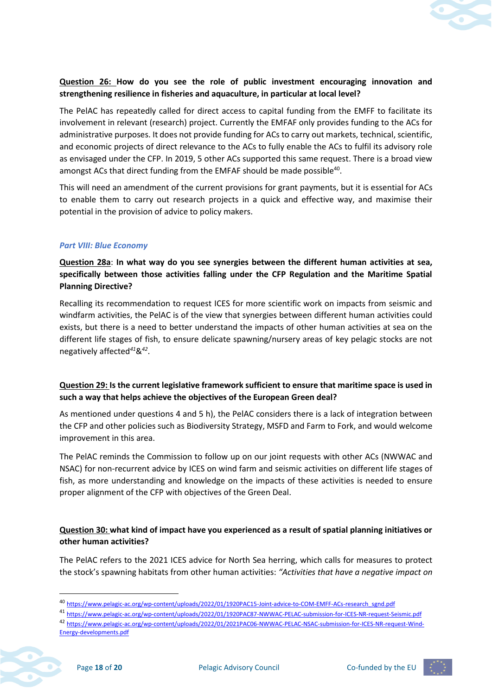

# **Question 26: How do you see the role of public investment encouraging innovation and strengthening resilience in fisheries and aquaculture, in particular at local level?**

The PelAC has repeatedly called for direct access to capital funding from the EMFF to facilitate its involvement in relevant (research) project. Currently the EMFAF only provides funding to the ACs for administrative purposes. It does not provide funding for ACs to carry out markets, technical, scientific, and economic projects of direct relevance to the ACs to fully enable the ACs to fulfil its advisory role as envisaged under the CFP. In 2019, 5 other ACs supported this same request. There is a broad view amongst ACs that direct funding from the EMFAF should be made possible<sup>40</sup>.

This will need an amendment of the current provisions for grant payments, but it is essential for ACs to enable them to carry out research projects in a quick and effective way, and maximise their potential in the provision of advice to policy makers.

#### *Part VIII: Blue Economy*

**Question 28a**: **In what way do you see synergies between the different human activities at sea, specifically between those activities falling under the CFP Regulation and the Maritime Spatial Planning Directive?**

Recalling its recommendation to request ICES for more scientific work on impacts from seismic and windfarm activities, the PelAC is of the view that synergies between different human activities could exists, but there is a need to better understand the impacts of other human activities at sea on the different life stages of fish, to ensure delicate spawning/nursery areas of key pelagic stocks are not negatively affected*<sup>41</sup>*& *42* .

# **Question 29: Is the current legislative framework sufficient to ensure that maritime space is used in such a way that helps achieve the objectives of the European Green deal?**

As mentioned under questions 4 and 5 h), the PelAC considers there is a lack of integration between the CFP and other policies such as Biodiversity Strategy, MSFD and Farm to Fork, and would welcome improvement in this area.

The PelAC reminds the Commission to follow up on our joint requests with other ACs (NWWAC and NSAC) for non-recurrent advice by ICES on wind farm and seismic activities on different life stages of fish, as more understanding and knowledge on the impacts of these activities is needed to ensure proper alignment of the CFP with objectives of the Green Deal.

# **Question 30: what kind of impact have you experienced as a result of spatial planning initiatives or other human activities?**

The PelAC refers to the 2021 ICES advice for North Sea herring, which calls for measures to protect the stock's spawning habitats from other human activities: *"Activities that have a negative impact on* 

- <sup>41</sup> <https://www.pelagic-ac.org/wp-content/uploads/2022/01/1920PAC87-NWWAC-PELAC-submission-for-ICES-NR-request-Seismic.pdf>
- <sup>42</sup> [https://www.pelagic-ac.org/wp-content/uploads/2022/01/2021PAC06-NWWAC-PELAC-NSAC-submission-for-ICES-NR-request-Wind-](https://www.pelagic-ac.org/wp-content/uploads/2022/01/2021PAC06-NWWAC-PELAC-NSAC-submission-for-ICES-NR-request-Wind-Energy-developments.pdf)[Energy-developments.pdf](https://www.pelagic-ac.org/wp-content/uploads/2022/01/2021PAC06-NWWAC-PELAC-NSAC-submission-for-ICES-NR-request-Wind-Energy-developments.pdf)



<sup>40</sup> [https://www.pelagic-ac.org/wp-content/uploads/2022/01/1920PAC15-Joint-advice-to-COM-EMFF-ACs-research\\_sgnd.pdf](https://www.pelagic-ac.org/wp-content/uploads/2022/01/1920PAC15-Joint-advice-to-COM-EMFF-ACs-research_sgnd.pdf)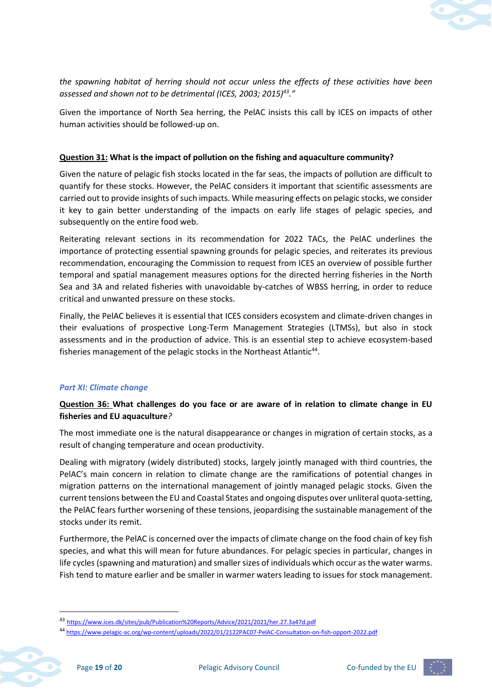

*the spawning habitat of herring should not occur unless the effects of these activities have been assessed and shown not to be detrimental (ICES, 2003; 2015)<sup>43</sup>."*

Given the importance of North Sea herring, the PelAC insists this call by ICES on impacts of other human activities should be followed-up on.

#### **Question 31: What is the impact of pollution on the fishing and aquaculture community?**

Given the nature of pelagic fish stocks located in the far seas, the impacts of pollution are difficult to quantify for these stocks. However, the PelAC considers it important that scientific assessments are carried out to provide insights of such impacts. While measuring effects on pelagic stocks, we consider it key to gain better understanding of the impacts on early life stages of pelagic species, and subsequently on the entire food web.

Reiterating relevant sections in its recommendation for 2022 TACs, the PelAC underlines the importance of protecting essential spawning grounds for pelagic species, and reiterates its previous recommendation, encouraging the Commission to request from ICES an overview of possible further temporal and spatial management measures options for the directed herring fisheries in the North Sea and 3A and related fisheries with unavoidable by-catches of WBSS herring, in order to reduce critical and unwanted pressure on these stocks.

Finally, the PelAC believes it is essential that ICES considers ecosystem and climate-driven changes in their evaluations of prospective Long-Term Management Strategies (LTMSs), but also in stock assessments and in the production of advice. This is an essential step to achieve ecosystem-based fisheries management of the pelagic stocks in the Northeast Atlantic<sup>44</sup>.

#### *Part XI: Climate change*

# **Question 36: What challenges do you face or are aware of in relation to climate change in EU fisheries and EU aquaculture***?*

The most immediate one is the natural disappearance or changes in migration of certain stocks, as a result of changing temperature and ocean productivity.

Dealing with migratory (widely distributed) stocks, largely jointly managed with third countries, the PelAC's main concern in relation to climate change are the ramifications of potential changes in migration patterns on the international management of jointly managed pelagic stocks. Given the current tensions between the EU and Coastal States and ongoing disputes over unliteral quota-setting, the PelAC fears further worsening of these tensions, jeopardising the sustainable management of the stocks under its remit.

Furthermore, the PelAC is concerned over the impacts of climate change on the food chain of key fish species, and what this will mean for future abundances. For pelagic species in particular, changes in life cycles (spawning and maturation) and smaller sizes of individuals which occur as the water warms. Fish tend to mature earlier and be smaller in warmer waters leading to issues for stock management.



<sup>43</sup> <https://www.ices.dk/sites/pub/Publication%20Reports/Advice/2021/2021/her.27.3a47d.pdf>

<sup>44</sup> <https://www.pelagic-ac.org/wp-content/uploads/2022/01/2122PAC07-PelAC-Consultation-on-fish-opport-2022.pdf>